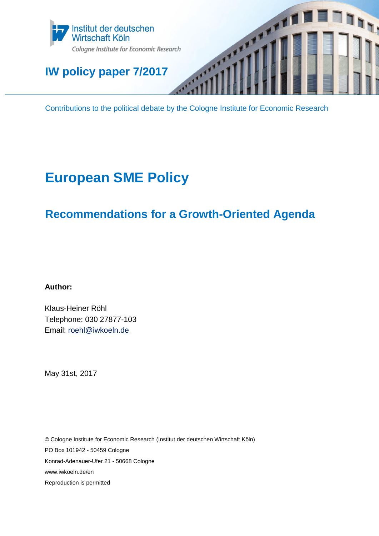

# **IW policy paper 7/2017**

Contributions to the political debate by the Cologne Institute for Economic Research

IT<sub>I</sub>

# **European SME Policy**

# **Recommendations for a Growth-Oriented Agenda**

**Author:**

Klaus-Heiner Röhl Telephone: 030 27877-103 Email: [roehl@iwkoeln.de](mailto:roehl@iwkoeln.de)

May 31st, 2017

© Cologne Institute for Economic Research (Institut der deutschen Wirtschaft Köln) PO Box 101942 - 50459 Cologne Konrad-Adenauer-Ufer 21 - 50668 Cologne www.iwkoeln.de/en Reproduction is permitted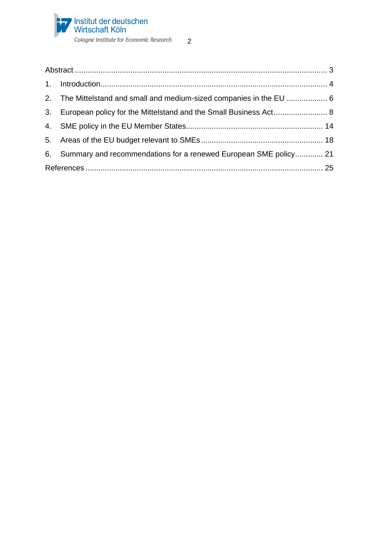

| 2. The Mittelstand and small and medium-sized companies in the EU  6 |  |
|----------------------------------------------------------------------|--|
| 3. European policy for the Mittelstand and the Small Business Act 8  |  |
|                                                                      |  |
|                                                                      |  |
| 6. Summary and recommendations for a renewed European SME policy 21  |  |
|                                                                      |  |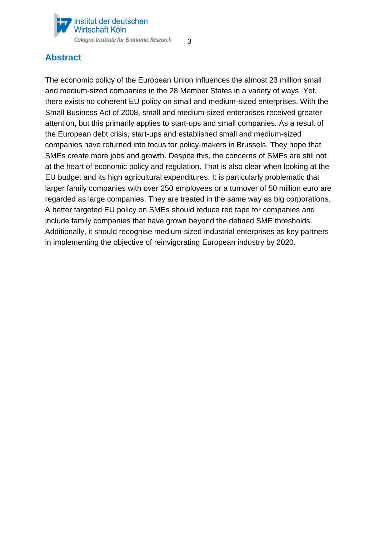

# <span id="page-2-0"></span>**Abstract**

The economic policy of the European Union influences the almost 23 million small and medium-sized companies in the 28 Member States in a variety of ways. Yet, there exists no coherent EU policy on small and medium-sized enterprises. With the Small Business Act of 2008, small and medium-sized enterprises received greater attention, but this primarily applies to start-ups and small companies. As a result of the European debt crisis, start-ups and established small and medium-sized companies have returned into focus for policy-makers in Brussels. They hope that SMEs create more jobs and growth. Despite this, the concerns of SMEs are still not at the heart of economic policy and regulation. That is also clear when looking at the EU budget and its high agricultural expenditures. It is particularly problematic that larger family companies with over 250 employees or a turnover of 50 million euro are regarded as large companies. They are treated in the same way as big corporations. A better targeted EU policy on SMEs should reduce red tape for companies and include family companies that have grown beyond the defined SME thresholds. Additionally, it should recognise medium-sized industrial enterprises as key partners in implementing the objective of reinvigorating European industry by 2020.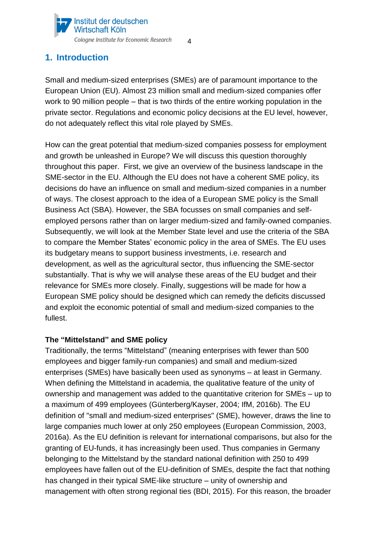

# <span id="page-3-0"></span>**1. Introduction**

Small and medium-sized enterprises (SMEs) are of paramount importance to the European Union (EU). Almost 23 million small and medium-sized companies offer work to 90 million people – that is two thirds of the entire working population in the private sector. Regulations and economic policy decisions at the EU level, however, do not adequately reflect this vital role played by SMEs.

How can the great potential that medium-sized companies possess for employment and growth be unleashed in Europe? We will discuss this question thoroughly throughout this paper. First, we give an overview of the business landscape in the SME-sector in the EU. Although the EU does not have a coherent SME policy, its decisions do have an influence on small and medium-sized companies in a number of ways. The closest approach to the idea of a European SME policy is the Small Business Act (SBA). However, the SBA focusses on small companies and selfemployed persons rather than on larger medium-sized and family-owned companies. Subsequently, we will look at the Member State level and use the criteria of the SBA to compare the Member States' economic policy in the area of SMEs. The EU uses its budgetary means to support business investments, i.e. research and development, as well as the agricultural sector, thus influencing the SME-sector substantially. That is why we will analyse these areas of the EU budget and their relevance for SMEs more closely. Finally, suggestions will be made for how a European SME policy should be designed which can remedy the deficits discussed and exploit the economic potential of small and medium-sized companies to the fullest.

### **The "Mittelstand" and SME policy**

Traditionally, the terms "Mittelstand" (meaning enterprises with fewer than 500 employees and bigger family-run companies) and small and medium-sized enterprises (SMEs) have basically been used as synonyms – at least in Germany. When defining the Mittelstand in academia, the qualitative feature of the unity of ownership and management was added to the quantitative criterion for SMEs – up to a maximum of 499 employees (Günterberg/Kayser, 2004; IfM, 2016b). The EU definition of "small and medium-sized enterprises" (SME), however, draws the line to large companies much lower at only 250 employees (European Commission, 2003, 2016a). As the EU definition is relevant for international comparisons, but also for the granting of EU-funds, it has increasingly been used. Thus companies in Germany belonging to the Mittelstand by the standard national definition with 250 to 499 employees have fallen out of the EU-definition of SMEs, despite the fact that nothing has changed in their typical SME-like structure – unity of ownership and management with often strong regional ties (BDI, 2015). For this reason, the broader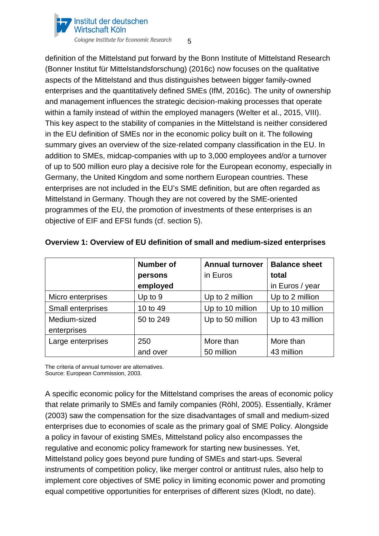

5

definition of the Mittelstand put forward by the Bonn Institute of Mittelstand Research (Bonner Institut für Mittelstandsforschung) (2016c) now focuses on the qualitative aspects of the Mittelstand and thus distinguishes between bigger family-owned enterprises and the quantitatively defined SMEs (IfM, 2016c). The unity of ownership and management influences the strategic decision-making processes that operate within a family instead of within the employed managers (Welter et al., 2015, VIII). This key aspect to the stability of companies in the Mittelstand is neither considered in the EU definition of SMEs nor in the economic policy built on it. The following summary gives an overview of the size-related company classification in the EU. In addition to SMEs, midcap-companies with up to 3,000 employees and/or a turnover of up to 500 million euro play a decisive role for the European economy, especially in Germany, the United Kingdom and some northern European countries. These enterprises are not included in the EU's SME definition, but are often regarded as Mittelstand in Germany. Though they are not covered by the SME-oriented programmes of the EU, the promotion of investments of these enterprises is an objective of EIF and EFSI funds (cf. section 5).

|                   | <b>Number of</b> | <b>Annual turnover</b> | <b>Balance sheet</b><br>total |  |
|-------------------|------------------|------------------------|-------------------------------|--|
|                   | persons          | in Euros               |                               |  |
|                   | employed         |                        | in Euros / year               |  |
| Micro enterprises | Up to 9          | Up to 2 million        | Up to 2 million               |  |
| Small enterprises | 10 to 49         | Up to 10 million       | Up to 10 million              |  |
| Medium-sized      | 50 to 249        | Up to 50 million       | Up to 43 million              |  |
| enterprises       |                  |                        |                               |  |
| Large enterprises | 250              | More than              | More than                     |  |
|                   | and over         | 50 million             | 43 million                    |  |

### **Overview 1: Overview of EU definition of small and medium-sized enterprises**

The criteria of annual turnover are alternatives. Source: European Commission, 2003.

A specific economic policy for the Mittelstand comprises the areas of economic policy that relate primarily to SMEs and family companies (Röhl, 2005). Essentially, Krämer (2003) saw the compensation for the size disadvantages of small and medium-sized enterprises due to economies of scale as the primary goal of SME Policy. Alongside a policy in favour of existing SMEs, Mittelstand policy also encompasses the regulative and economic policy framework for starting new businesses. Yet, Mittelstand policy goes beyond pure funding of SMEs and start-ups. Several instruments of competition policy, like merger control or antitrust rules, also help to implement core objectives of SME policy in limiting economic power and promoting equal competitive opportunities for enterprises of different sizes (Klodt, no date).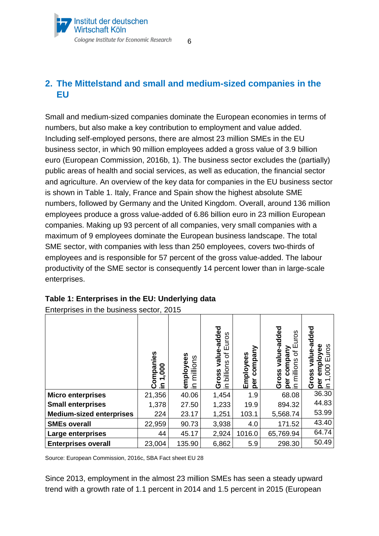# <span id="page-5-0"></span>**2. The Mittelstand and small and medium-sized companies in the EU**

6

Small and medium-sized companies dominate the European economies in terms of numbers, but also make a key contribution to employment and value added. Including self-employed persons, there are almost 23 million SMEs in the EU business sector, in which 90 million employees added a gross value of 3.9 billion euro (European Commission, 2016b, 1). The business sector excludes the (partially) public areas of health and social services, as well as education, the financial sector and agriculture. An overview of the key data for companies in the EU business sector is shown in Table 1. Italy, France and Spain show the highest absolute SME numbers, followed by Germany and the United Kingdom. Overall, around 136 million employees produce a gross value-added of 6.86 billion euro in 23 million European companies. Making up 93 percent of all companies, very small companies with a maximum of 9 employees dominate the European business landscape. The total SME sector, with companies with less than 250 employees, covers two-thirds of employees and is responsible for 57 percent of the gross value-added. The labour productivity of the SME sector is consequently 14 percent lower than in large-scale enterprises.

|                                 | ompanies<br>80<br>$\overline{\phantom{0}}$<br>≘. | employees<br>millions<br>크. | value-aulsv<br>uros<br>ш<br>৳<br>billions<br>oss<br>O<br>≘. | company<br>Employees<br>per | bəppe-ənlev<br>uros<br>ш<br>company<br>৳<br>millions<br>ross<br>စ္ထ<br>ō<br>⊆ | dded<br>ue-a<br>loyee<br>uros<br>ह<br>SS<br><u>a ∈</u><br>ტ |
|---------------------------------|--------------------------------------------------|-----------------------------|-------------------------------------------------------------|-----------------------------|-------------------------------------------------------------------------------|-------------------------------------------------------------|
| <b>Micro enterprises</b>        | 21,356                                           | 40.06                       | 1,454                                                       | 1.9                         | 68.08                                                                         | 36.30                                                       |
| <b>Small enterprises</b>        | 1,378                                            | 27.50                       | 1,233                                                       | 19.9                        | 894.32                                                                        | 44.83                                                       |
| <b>Medium-sized enterprises</b> | 224                                              | 23.17                       | 1,251                                                       | 103.1                       | 5,568.74                                                                      | 53.99                                                       |
| <b>SMEs overall</b>             | 22,959                                           | 90.73                       | 3,938                                                       | 4.0                         | 171.52                                                                        | 43.40                                                       |
| Large enterprises               | 44                                               | 45.17                       | 2,924                                                       | 1016.0                      | 65,769.94                                                                     | 64.74                                                       |
| <b>Enterprises overall</b>      | 23,004                                           | 135.90                      | 6,862                                                       | 5.9                         | 298.30                                                                        | 50.49                                                       |

# **Table 1: Enterprises in the EU: Underlying data**

Enterprises in the business sector, 2015

Source: European Commission, 2016c, SBA Fact sheet EU 28

Since 2013, employment in the almost 23 million SMEs has seen a steady upward trend with a growth rate of 1.1 percent in 2014 and 1.5 percent in 2015 (European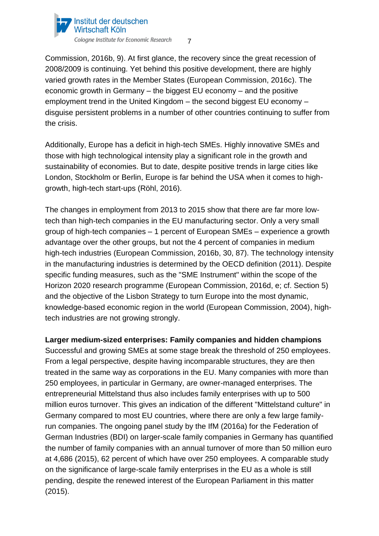

Commission, 2016b, 9). At first glance, the recovery since the great recession of 2008/2009 is continuing. Yet behind this positive development, there are highly varied growth rates in the Member States (European Commission, 2016c). The economic growth in Germany – the biggest EU economy – and the positive employment trend in the United Kingdom – the second biggest EU economy – disguise persistent problems in a number of other countries continuing to suffer from the crisis.

Additionally, Europe has a deficit in high-tech SMEs. Highly innovative SMEs and those with high technological intensity play a significant role in the growth and sustainability of economies. But to date, despite positive trends in large cities like London, Stockholm or Berlin, Europe is far behind the USA when it comes to highgrowth, high-tech start-ups (Röhl, 2016).

The changes in employment from 2013 to 2015 show that there are far more lowtech than high-tech companies in the EU manufacturing sector. Only a very small group of high-tech companies – 1 percent of European SMEs – experience a growth advantage over the other groups, but not the 4 percent of companies in medium high-tech industries (European Commission, 2016b, 30, 87). The technology intensity in the manufacturing industries is determined by the OECD definition (2011). Despite specific funding measures, such as the "SME Instrument" within the scope of the Horizon 2020 research programme (European Commission, 2016d, e; cf. Section 5) and the objective of the Lisbon Strategy to turn Europe into the most dynamic, knowledge-based economic region in the world (European Commission, 2004), hightech industries are not growing strongly.

### **Larger medium-sized enterprises: Family companies and hidden champions**

Successful and growing SMEs at some stage break the threshold of 250 employees. From a legal perspective, despite having incomparable structures, they are then treated in the same way as corporations in the EU. Many companies with more than 250 employees, in particular in Germany, are owner-managed enterprises. The entrepreneurial Mittelstand thus also includes family enterprises with up to 500 million euros turnover. This gives an indication of the different "Mittelstand culture" in Germany compared to most EU countries, where there are only a few large familyrun companies. The ongoing panel study by the IfM (2016a) for the Federation of German Industries (BDI) on larger-scale family companies in Germany has quantified the number of family companies with an annual turnover of more than 50 million euro at 4,686 (2015), 62 percent of which have over 250 employees. A comparable study on the significance of large-scale family enterprises in the EU as a whole is still pending, despite the renewed interest of the European Parliament in this matter (2015).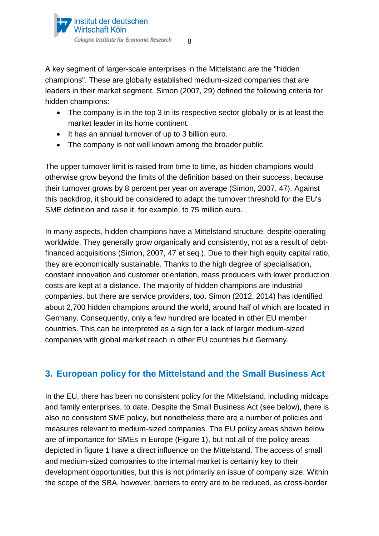A key segment of larger-scale enterprises in the Mittelstand are the "hidden champions". These are globally established medium-sized companies that are leaders in their market segment. Simon (2007, 29) defined the following criteria for hidden champions:

- The company is in the top 3 in its respective sector globally or is at least the market leader in its home continent.
- It has an annual turnover of up to 3 billion euro.
- The company is not well known among the broader public.

The upper turnover limit is raised from time to time, as hidden champions would otherwise grow beyond the limits of the definition based on their success, because their turnover grows by 8 percent per year on average (Simon, 2007, 47). Against this backdrop, it should be considered to adapt the turnover threshold for the EU's SME definition and raise it, for example, to 75 million euro.

In many aspects, hidden champions have a Mittelstand structure, despite operating worldwide. They generally grow organically and consistently, not as a result of debtfinanced acquisitions (Simon, 2007, 47 et seq.). Due to their high equity capital ratio, they are economically sustainable. Thanks to the high degree of specialisation, constant innovation and customer orientation, mass producers with lower production costs are kept at a distance. The majority of hidden champions are industrial companies, but there are service providers, too. Simon (2012, 2014) has identified about 2,700 hidden champions around the world, around half of which are located in Germany. Consequently, only a few hundred are located in other EU member countries. This can be interpreted as a sign for a lack of larger medium-sized companies with global market reach in other EU countries but Germany.

# <span id="page-7-0"></span>**3. European policy for the Mittelstand and the Small Business Act**

In the EU, there has been no consistent policy for the Mittelstand, including midcaps and family enterprises, to date. Despite the Small Business Act (see below), there is also no consistent SME policy, but nonetheless there are a number of policies and measures relevant to medium-sized companies. The EU policy areas shown below are of importance for SMEs in Europe (Figure 1), but not all of the policy areas depicted in figure 1 have a direct influence on the Mittelstand. The access of small and medium-sized companies to the internal market is certainly key to their development opportunities, but this is not primarily an issue of company size. Within the scope of the SBA, however, barriers to entry are to be reduced, as cross-border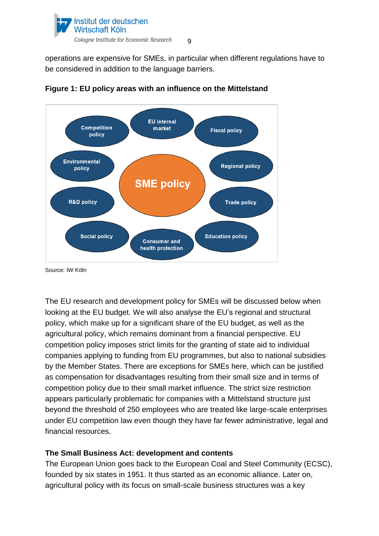

operations are expensive for SMEs, in particular when different regulations have to be considered in addition to the language barriers.





Source: IW Köln

The EU research and development policy for SMEs will be discussed below when looking at the EU budget. We will also analyse the EU's regional and structural policy, which make up for a significant share of the EU budget, as well as the agricultural policy, which remains dominant from a financial perspective. EU competition policy imposes strict limits for the granting of state aid to individual companies applying to funding from EU programmes, but also to national subsidies by the Member States. There are exceptions for SMEs here, which can be justified as compensation for disadvantages resulting from their small size and in terms of competition policy due to their small market influence. The strict size restriction appears particularly problematic for companies with a Mittelstand structure just beyond the threshold of 250 employees who are treated like large-scale enterprises under EU competition law even though they have far fewer administrative, legal and financial resources.

### **The Small Business Act: development and contents**

The European Union goes back to the European Coal and Steel Community (ECSC), founded by six states in 1951. It thus started as an economic alliance. Later on, agricultural policy with its focus on small-scale business structures was a key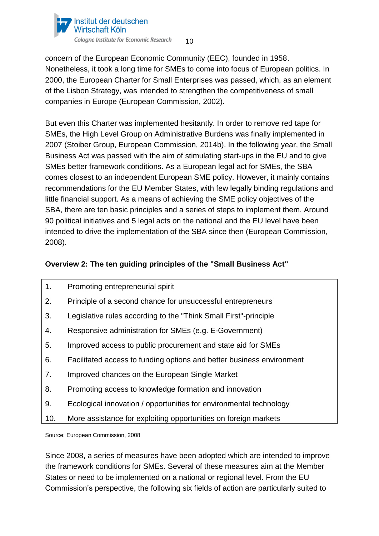

concern of the European Economic Community (EEC), founded in 1958. Nonetheless, it took a long time for SMEs to come into focus of European politics. In 2000, the European Charter for Small Enterprises was passed, which, as an element of the Lisbon Strategy, was intended to strengthen the competitiveness of small companies in Europe (European Commission, 2002).

But even this Charter was implemented hesitantly. In order to remove red tape for SMEs, the High Level Group on Administrative Burdens was finally implemented in 2007 (Stoiber Group, European Commission, 2014b). In the following year, the Small Business Act was passed with the aim of stimulating start-ups in the EU and to give SMEs better framework conditions. As a European legal act for SMEs, the SBA comes closest to an independent European SME policy. However, it mainly contains recommendations for the EU Member States, with few legally binding regulations and little financial support. As a means of achieving the SME policy objectives of the SBA, there are ten basic principles and a series of steps to implement them. Around 90 political initiatives and 5 legal acts on the national and the EU level have been intended to drive the implementation of the SBA since then (European Commission, 2008).

## **Overview 2: The ten guiding principles of the "Small Business Act"**

- 1. Promoting entrepreneurial spirit
- 2. Principle of a second chance for unsuccessful entrepreneurs
- 3. Legislative rules according to the "Think Small First"-principle
- 4. Responsive administration for SMEs (e.g. E-Government)
- 5. Improved access to public procurement and state aid for SMEs
- 6. Facilitated access to funding options and better business environment
- 7. Improved chances on the European Single Market
- 8. Promoting access to knowledge formation and innovation
- 9. Ecological innovation / opportunities for environmental technology
- 10. More assistance for exploiting opportunities on foreign markets

Source: European Commission, 2008

Since 2008, a series of measures have been adopted which are intended to improve the framework conditions for SMEs. Several of these measures aim at the Member States or need to be implemented on a national or regional level. From the EU Commission's perspective, the following six fields of action are particularly suited to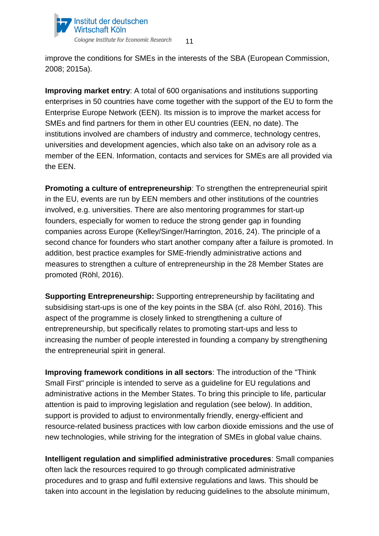

improve the conditions for SMEs in the interests of the SBA (European Commission, 2008; 2015a).

**Improving market entry**: A total of 600 organisations and institutions supporting enterprises in 50 countries have come together with the support of the EU to form the Enterprise Europe Network (EEN). Its mission is to improve the market access for SMEs and find partners for them in other EU countries (EEN, no date). The institutions involved are chambers of industry and commerce, technology centres, universities and development agencies, which also take on an advisory role as a member of the EEN. Information, contacts and services for SMEs are all provided via the EEN.

**Promoting a culture of entrepreneurship:** To strengthen the entrepreneurial spirit in the EU, events are run by EEN members and other institutions of the countries involved, e.g. universities. There are also mentoring programmes for start-up founders, especially for women to reduce the strong gender gap in founding companies across Europe (Kelley/Singer/Harrington, 2016, 24). The principle of a second chance for founders who start another company after a failure is promoted. In addition, best practice examples for SME-friendly administrative actions and measures to strengthen a culture of entrepreneurship in the 28 Member States are promoted (Röhl, 2016).

**Supporting Entrepreneurship:** Supporting entrepreneurship by facilitating and subsidising start-ups is one of the key points in the SBA (cf. also Röhl, 2016). This aspect of the programme is closely linked to strengthening a culture of entrepreneurship, but specifically relates to promoting start-ups and less to increasing the number of people interested in founding a company by strengthening the entrepreneurial spirit in general.

**Improving framework conditions in all sectors**: The introduction of the "Think Small First" principle is intended to serve as a guideline for EU regulations and administrative actions in the Member States. To bring this principle to life, particular attention is paid to improving legislation and regulation (see below). In addition, support is provided to adjust to environmentally friendly, energy-efficient and resource-related business practices with low carbon dioxide emissions and the use of new technologies, while striving for the integration of SMEs in global value chains.

**Intelligent regulation and simplified administrative procedures**: Small companies often lack the resources required to go through complicated administrative procedures and to grasp and fulfil extensive regulations and laws. This should be taken into account in the legislation by reducing guidelines to the absolute minimum,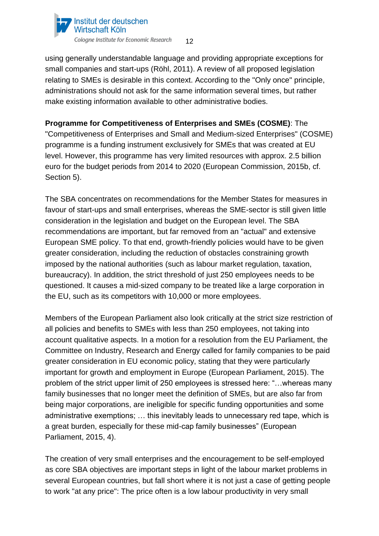

using generally understandable language and providing appropriate exceptions for small companies and start-ups (Röhl, 2011). A review of all proposed legislation relating to SMEs is desirable in this context. According to the "Only once" principle, administrations should not ask for the same information several times, but rather make existing information available to other administrative bodies.

**Programme for Competitiveness of Enterprises and SMEs (COSME)**: The "Competitiveness of Enterprises and Small and Medium-sized Enterprises" (COSME) programme is a funding instrument exclusively for SMEs that was created at EU level. However, this programme has very limited resources with approx. 2.5 billion euro for the budget periods from 2014 to 2020 (European Commission, 2015b, cf. Section 5).

The SBA concentrates on recommendations for the Member States for measures in favour of start-ups and small enterprises, whereas the SME-sector is still given little consideration in the legislation and budget on the European level. The SBA recommendations are important, but far removed from an "actual" and extensive European SME policy. To that end, growth-friendly policies would have to be given greater consideration, including the reduction of obstacles constraining growth imposed by the national authorities (such as labour market regulation, taxation, bureaucracy). In addition, the strict threshold of just 250 employees needs to be questioned. It causes a mid-sized company to be treated like a large corporation in the EU, such as its competitors with 10,000 or more employees.

Members of the European Parliament also look critically at the strict size restriction of all policies and benefits to SMEs with less than 250 employees, not taking into account qualitative aspects. In a motion for a resolution from the EU Parliament, the Committee on Industry, Research and Energy called for family companies to be paid greater consideration in EU economic policy, stating that they were particularly important for growth and employment in Europe (European Parliament, 2015). The problem of the strict upper limit of 250 employees is stressed here: "…whereas many family businesses that no longer meet the definition of SMEs, but are also far from being major corporations, are ineligible for specific funding opportunities and some administrative exemptions; … this inevitably leads to unnecessary red tape, which is a great burden, especially for these mid-cap family businesses" (European Parliament, 2015, 4).

The creation of very small enterprises and the encouragement to be self-employed as core SBA objectives are important steps in light of the labour market problems in several European countries, but fall short where it is not just a case of getting people to work "at any price": The price often is a low labour productivity in very small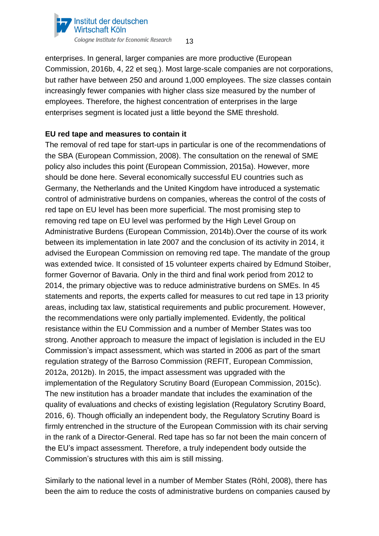

enterprises. In general, larger companies are more productive (European Commission, 2016b, 4, 22 et seq.). Most large-scale companies are not corporations, but rather have between 250 and around 1,000 employees. The size classes contain increasingly fewer companies with higher class size measured by the number of employees. Therefore, the highest concentration of enterprises in the large enterprises segment is located just a little beyond the SME threshold.

#### **EU red tape and measures to contain it**

The removal of red tape for start-ups in particular is one of the recommendations of the SBA (European Commission, 2008). The consultation on the renewal of SME policy also includes this point (European Commission, 2015a). However, more should be done here. Several economically successful EU countries such as Germany, the Netherlands and the United Kingdom have introduced a systematic control of administrative burdens on companies, whereas the control of the costs of red tape on EU level has been more superficial. The most promising step to removing red tape on EU level was performed by the High Level Group on Administrative Burdens (European Commission, 2014b).Over the course of its work between its implementation in late 2007 and the conclusion of its activity in 2014, it advised the European Commission on removing red tape. The mandate of the group was extended twice. It consisted of 15 volunteer experts chaired by Edmund Stoiber, former Governor of Bavaria. Only in the third and final work period from 2012 to 2014, the primary objective was to reduce administrative burdens on SMEs. In 45 statements and reports, the experts called for measures to cut red tape in 13 priority areas, including tax law, statistical requirements and public procurement. However, the recommendations were only partially implemented. Evidently, the political resistance within the EU Commission and a number of Member States was too strong. Another approach to measure the impact of legislation is included in the EU Commission's impact assessment, which was started in 2006 as part of the smart regulation strategy of the Barroso Commission (REFIT, European Commission, 2012a, 2012b). In 2015, the impact assessment was upgraded with the implementation of the Regulatory Scrutiny Board (European Commission, 2015c). The new institution has a broader mandate that includes the examination of the quality of evaluations and checks of existing legislation (Regulatory Scrutiny Board, 2016, 6). Though officially an independent body, the Regulatory Scrutiny Board is firmly entrenched in the structure of the European Commission with its chair serving in the rank of a Director-General. Red tape has so far not been the main concern of the EU's impact assessment. Therefore, a truly independent body outside the Commission's structures with this aim is still missing.

Similarly to the national level in a number of Member States (Röhl, 2008), there has been the aim to reduce the costs of administrative burdens on companies caused by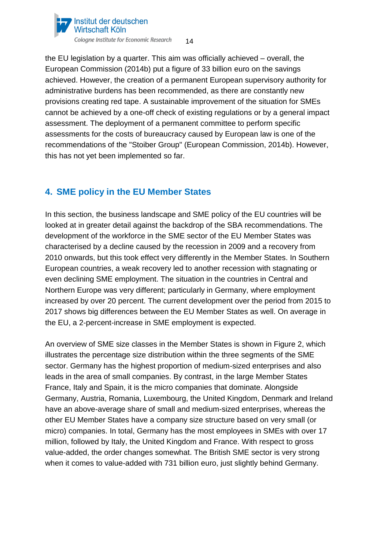

the EU legislation by a quarter. This aim was officially achieved – overall, the European Commission (2014b) put a figure of 33 billion euro on the savings achieved. However, the creation of a permanent European supervisory authority for administrative burdens has been recommended, as there are constantly new provisions creating red tape. A sustainable improvement of the situation for SMEs cannot be achieved by a one-off check of existing regulations or by a general impact assessment. The deployment of a permanent committee to perform specific assessments for the costs of bureaucracy caused by European law is one of the recommendations of the "Stoiber Group" (European Commission, 2014b). However, this has not yet been implemented so far.

# <span id="page-13-0"></span>**4. SME policy in the EU Member States**

In this section, the business landscape and SME policy of the EU countries will be looked at in greater detail against the backdrop of the SBA recommendations. The development of the workforce in the SME sector of the EU Member States was characterised by a decline caused by the recession in 2009 and a recovery from 2010 onwards, but this took effect very differently in the Member States. In Southern European countries, a weak recovery led to another recession with stagnating or even declining SME employment. The situation in the countries in Central and Northern Europe was very different; particularly in Germany, where employment increased by over 20 percent. The current development over the period from 2015 to 2017 shows big differences between the EU Member States as well. On average in the EU, a 2-percent-increase in SME employment is expected.

An overview of SME size classes in the Member States is shown in Figure 2, which illustrates the percentage size distribution within the three segments of the SME sector. Germany has the highest proportion of medium-sized enterprises and also leads in the area of small companies. By contrast, in the large Member States France, Italy and Spain, it is the micro companies that dominate. Alongside Germany, Austria, Romania, Luxembourg, the United Kingdom, Denmark and Ireland have an above-average share of small and medium-sized enterprises, whereas the other EU Member States have a company size structure based on very small (or micro) companies. In total, Germany has the most employees in SMEs with over 17 million, followed by Italy, the United Kingdom and France. With respect to gross value-added, the order changes somewhat. The British SME sector is very strong when it comes to value-added with 731 billion euro, just slightly behind Germany.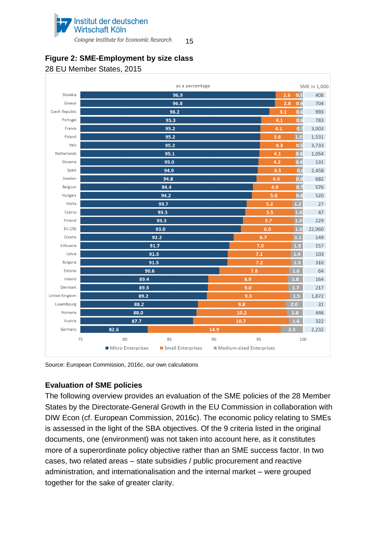

15

# **Figure 2: SME-Employment by size class**

#### 28 EU Member States, 2015



Source: European Commission, 2016c, our own calculations

# **Evaluation of SME policies**

The following overview provides an evaluation of the SME policies of the 28 Member States by the Directorate-General Growth in the EU Commission in collaboration with DIW Econ (cf. European Commission, 2016c). The economic policy relating to SMEs is assessed in the light of the SBA objectives. Of the 9 criteria listed in the original documents, one (environment) was not taken into account here, as it constitutes more of a superordinate policy objective rather than an SME success factor. In two cases, two related areas – state subsidies / public procurement and reactive administration, and internationalisation and the internal market – were grouped together for the sake of greater clarity.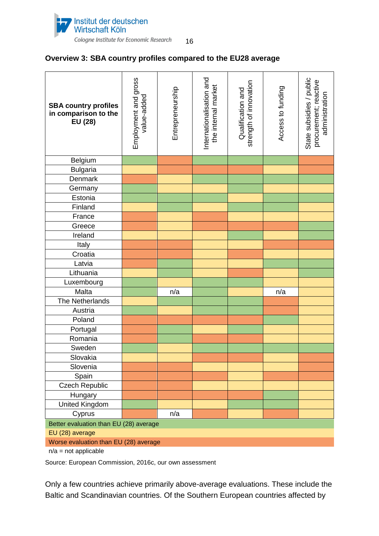

#### **Overview 3: SBA country profiles compared to the EU28 average**

| <b>SBA country profiles</b><br>in comparison to the<br>EU (28) | Employment and gross<br>value-added | Entrepreneurship | Internationalisation and<br>the internal market | strength of innovation<br>Qualification and | Access to funding | State subsidies / public<br>procurement; reactive<br>administration |
|----------------------------------------------------------------|-------------------------------------|------------------|-------------------------------------------------|---------------------------------------------|-------------------|---------------------------------------------------------------------|
| Belgium                                                        |                                     |                  |                                                 |                                             |                   |                                                                     |
| <b>Bulgaria</b>                                                |                                     |                  |                                                 |                                             |                   |                                                                     |
| Denmark                                                        |                                     |                  |                                                 |                                             |                   |                                                                     |
| Germany                                                        |                                     |                  |                                                 |                                             |                   |                                                                     |
| Estonia                                                        |                                     |                  |                                                 |                                             |                   |                                                                     |
| Finland                                                        |                                     |                  |                                                 |                                             |                   |                                                                     |
| France                                                         |                                     |                  |                                                 |                                             |                   |                                                                     |
| Greece                                                         |                                     |                  |                                                 |                                             |                   |                                                                     |
| Ireland                                                        |                                     |                  |                                                 |                                             |                   |                                                                     |
| Italy                                                          |                                     |                  |                                                 |                                             |                   |                                                                     |
| Croatia                                                        |                                     |                  |                                                 |                                             |                   |                                                                     |
| Latvia                                                         |                                     |                  |                                                 |                                             |                   |                                                                     |
| Lithuania                                                      |                                     |                  |                                                 |                                             |                   |                                                                     |
| Luxembourg                                                     |                                     |                  |                                                 |                                             |                   |                                                                     |
| Malta                                                          |                                     | n/a              |                                                 |                                             | n/a               |                                                                     |
| The Netherlands                                                |                                     |                  |                                                 |                                             |                   |                                                                     |
| Austria                                                        |                                     |                  |                                                 |                                             |                   |                                                                     |
| Poland                                                         |                                     |                  |                                                 |                                             |                   |                                                                     |
| Portugal                                                       |                                     |                  |                                                 |                                             |                   |                                                                     |
| Romania                                                        |                                     |                  |                                                 |                                             |                   |                                                                     |
| Sweden                                                         |                                     |                  |                                                 |                                             |                   |                                                                     |
| Slovakia                                                       |                                     |                  |                                                 |                                             |                   |                                                                     |
| Slovenia                                                       |                                     |                  |                                                 |                                             |                   |                                                                     |
| Spain                                                          |                                     |                  |                                                 |                                             |                   |                                                                     |
| <b>Czech Republic</b>                                          |                                     |                  |                                                 |                                             |                   |                                                                     |
| Hungary                                                        |                                     |                  |                                                 |                                             |                   |                                                                     |
| <b>United Kingdom</b>                                          |                                     |                  |                                                 |                                             |                   |                                                                     |
| Cyprus                                                         |                                     | n/a              |                                                 |                                             |                   |                                                                     |
| Better evaluation than EU (28) average                         |                                     |                  |                                                 |                                             |                   |                                                                     |
| EU (28) average                                                |                                     |                  |                                                 |                                             |                   |                                                                     |
| Worse evaluation than EU (28) average                          |                                     |                  |                                                 |                                             |                   |                                                                     |

 $n/a$  = not applicable

Source: European Commission, 2016c, our own assessment

Only a few countries achieve primarily above-average evaluations. These include the Baltic and Scandinavian countries. Of the Southern European countries affected by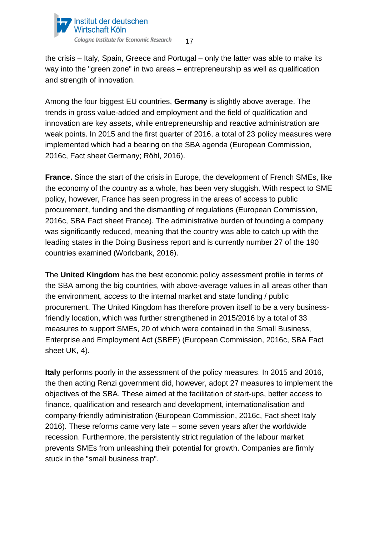

17

the crisis – Italy, Spain, Greece and Portugal – only the latter was able to make its way into the "green zone" in two areas – entrepreneurship as well as qualification and strength of innovation.

Among the four biggest EU countries, **Germany** is slightly above average. The trends in gross value-added and employment and the field of qualification and innovation are key assets, while entrepreneurship and reactive administration are weak points. In 2015 and the first quarter of 2016, a total of 23 policy measures were implemented which had a bearing on the SBA agenda (European Commission, 2016c, Fact sheet Germany; Röhl, 2016).

**France.** Since the start of the crisis in Europe, the development of French SMEs, like the economy of the country as a whole, has been very sluggish. With respect to SME policy, however, France has seen progress in the areas of access to public procurement, funding and the dismantling of regulations (European Commission, 2016c, SBA Fact sheet France). The administrative burden of founding a company was significantly reduced, meaning that the country was able to catch up with the leading states in the Doing Business report and is currently number 27 of the 190 countries examined (Worldbank, 2016).

The **United Kingdom** has the best economic policy assessment profile in terms of the SBA among the big countries, with above-average values in all areas other than the environment, access to the internal market and state funding / public procurement. The United Kingdom has therefore proven itself to be a very businessfriendly location, which was further strengthened in 2015/2016 by a total of 33 measures to support SMEs, 20 of which were contained in the Small Business, Enterprise and Employment Act (SBEE) (European Commission, 2016c, SBA Fact sheet UK, 4).

**Italy** performs poorly in the assessment of the policy measures. In 2015 and 2016, the then acting Renzi government did, however, adopt 27 measures to implement the objectives of the SBA. These aimed at the facilitation of start-ups, better access to finance, qualification and research and development, internationalisation and company-friendly administration (European Commission, 2016c, Fact sheet Italy 2016). These reforms came very late – some seven years after the worldwide recession. Furthermore, the persistently strict regulation of the labour market prevents SMEs from unleashing their potential for growth. Companies are firmly stuck in the "small business trap".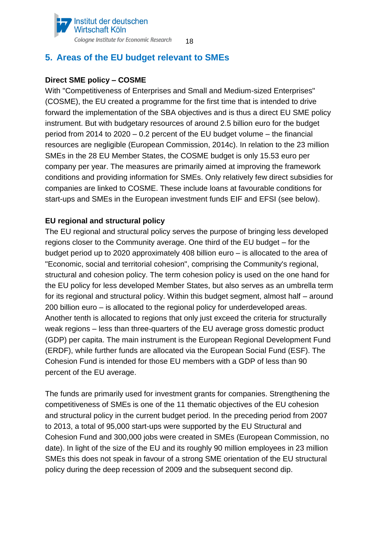#### Institut der deutschen Wirtschaft Köln Cologne Institute for Economic Research 18

# <span id="page-17-0"></span>**5. Areas of the EU budget relevant to SMEs**

## **Direct SME policy – COSME**

With "Competitiveness of Enterprises and Small and Medium-sized Enterprises" (COSME), the EU created a programme for the first time that is intended to drive forward the implementation of the SBA objectives and is thus a direct EU SME policy instrument. But with budgetary resources of around 2.5 billion euro for the budget period from 2014 to 2020 – 0.2 percent of the EU budget volume – the financial resources are negligible (European Commission, 2014c). In relation to the 23 million SMEs in the 28 EU Member States, the COSME budget is only 15.53 euro per company per year. The measures are primarily aimed at improving the framework conditions and providing information for SMEs. Only relatively few direct subsidies for companies are linked to COSME. These include loans at favourable conditions for start-ups and SMEs in the European investment funds EIF and EFSI (see below).

## **EU regional and structural policy**

The EU regional and structural policy serves the purpose of bringing less developed regions closer to the Community average. One third of the EU budget – for the budget period up to 2020 approximately 408 billion euro – is allocated to the area of "Economic, social and territorial cohesion", comprising the Community's regional, structural and cohesion policy. The term cohesion policy is used on the one hand for the EU policy for less developed Member States, but also serves as an umbrella term for its regional and structural policy. Within this budget segment, almost half – around 200 billion euro – is allocated to the regional policy for underdeveloped areas. Another tenth is allocated to regions that only just exceed the criteria for structurally weak regions – less than three-quarters of the EU average gross domestic product (GDP) per capita. The main instrument is the European Regional Development Fund (ERDF), while further funds are allocated via the European Social Fund (ESF). The Cohesion Fund is intended for those EU members with a GDP of less than 90 percent of the EU average.

The funds are primarily used for investment grants for companies. Strengthening the competitiveness of SMEs is one of the 11 thematic objectives of the EU cohesion and structural policy in the current budget period. In the preceding period from 2007 to 2013, a total of 95,000 start-ups were supported by the EU Structural and Cohesion Fund and 300,000 jobs were created in SMEs (European Commission, no date). In light of the size of the EU and its roughly 90 million employees in 23 million SMEs this does not speak in favour of a strong SME orientation of the EU structural policy during the deep recession of 2009 and the subsequent second dip.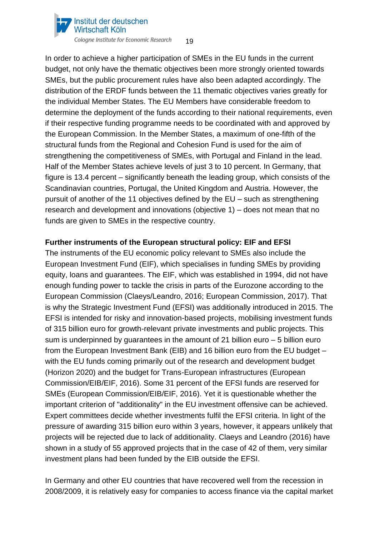

In order to achieve a higher participation of SMEs in the EU funds in the current budget, not only have the thematic objectives been more strongly oriented towards SMEs, but the public procurement rules have also been adapted accordingly. The distribution of the ERDF funds between the 11 thematic objectives varies greatly for the individual Member States. The EU Members have considerable freedom to determine the deployment of the funds according to their national requirements, even if their respective funding programme needs to be coordinated with and approved by the European Commission. In the Member States, a maximum of one-fifth of the structural funds from the Regional and Cohesion Fund is used for the aim of strengthening the competitiveness of SMEs, with Portugal and Finland in the lead. Half of the Member States achieve levels of just 3 to 10 percent. In Germany, that figure is 13.4 percent – significantly beneath the leading group, which consists of the Scandinavian countries, Portugal, the United Kingdom and Austria. However, the pursuit of another of the 11 objectives defined by the EU – such as strengthening research and development and innovations (objective 1) – does not mean that no funds are given to SMEs in the respective country.

### **Further instruments of the European structural policy: EIF and EFSI**

The instruments of the EU economic policy relevant to SMEs also include the European Investment Fund (EIF), which specialises in funding SMEs by providing equity, loans and guarantees. The EIF, which was established in 1994, did not have enough funding power to tackle the crisis in parts of the Eurozone according to the European Commission (Claeys/Leandro, 2016; European Commission, 2017). That is why the Strategic Investment Fund (EFSI) was additionally introduced in 2015. The EFSI is intended for risky and innovation-based projects, mobilising investment funds of 315 billion euro for growth-relevant private investments and public projects. This sum is underpinned by guarantees in the amount of 21 billion euro – 5 billion euro from the European Investment Bank (EIB) and 16 billion euro from the EU budget – with the EU funds coming primarily out of the research and development budget (Horizon 2020) and the budget for Trans-European infrastructures (European Commission/EIB/EIF, 2016). Some 31 percent of the EFSI funds are reserved for SMEs (European Commission/EIB/EIF, 2016). Yet it is questionable whether the important criterion of "additionality" in the EU investment offensive can be achieved. Expert committees decide whether investments fulfil the EFSI criteria. In light of the pressure of awarding 315 billion euro within 3 years, however, it appears unlikely that projects will be rejected due to lack of additionality. Claeys and Leandro (2016) have shown in a study of 55 approved projects that in the case of 42 of them, very similar investment plans had been funded by the EIB outside the EFSI.

In Germany and other EU countries that have recovered well from the recession in 2008/2009, it is relatively easy for companies to access finance via the capital market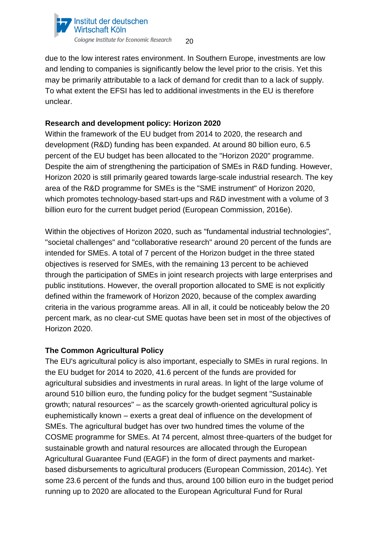

due to the low interest rates environment. In Southern Europe, investments are low and lending to companies is significantly below the level prior to the crisis. Yet this may be primarily attributable to a lack of demand for credit than to a lack of supply. To what extent the EFSI has led to additional investments in the EU is therefore unclear.

#### **Research and development policy: Horizon 2020**

Within the framework of the EU budget from 2014 to 2020, the research and development (R&D) funding has been expanded. At around 80 billion euro, 6.5 percent of the EU budget has been allocated to the "Horizon 2020" programme. Despite the aim of strengthening the participation of SMEs in R&D funding. However, Horizon 2020 is still primarily geared towards large-scale industrial research. The key area of the R&D programme for SMEs is the "SME instrument" of Horizon 2020, which promotes technology-based start-ups and R&D investment with a volume of 3 billion euro for the current budget period (European Commission, 2016e).

Within the objectives of Horizon 2020, such as "fundamental industrial technologies", "societal challenges" and "collaborative research" around 20 percent of the funds are intended for SMEs. A total of 7 percent of the Horizon budget in the three stated objectives is reserved for SMEs, with the remaining 13 percent to be achieved through the participation of SMEs in joint research projects with large enterprises and public institutions. However, the overall proportion allocated to SME is not explicitly defined within the framework of Horizon 2020, because of the complex awarding criteria in the various programme areas. All in all, it could be noticeably below the 20 percent mark, as no clear-cut SME quotas have been set in most of the objectives of Horizon 2020.

#### **The Common Agricultural Policy**

The EU's agricultural policy is also important, especially to SMEs in rural regions. In the EU budget for 2014 to 2020, 41.6 percent of the funds are provided for agricultural subsidies and investments in rural areas. In light of the large volume of around 510 billion euro, the funding policy for the budget segment "Sustainable growth; natural resources" – as the scarcely growth-oriented agricultural policy is euphemistically known – exerts a great deal of influence on the development of SMEs. The agricultural budget has over two hundred times the volume of the COSME programme for SMEs. At 74 percent, almost three-quarters of the budget for sustainable growth and natural resources are allocated through the European Agricultural Guarantee Fund (EAGF) in the form of direct payments and marketbased disbursements to agricultural producers (European Commission, 2014c). Yet some 23.6 percent of the funds and thus, around 100 billion euro in the budget period running up to 2020 are allocated to the European Agricultural Fund for Rural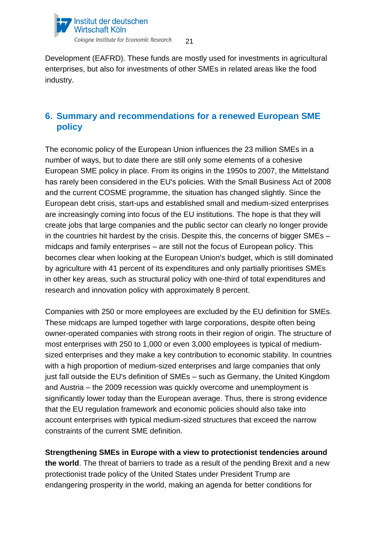

21

Development (EAFRD). These funds are mostly used for investments in agricultural enterprises, but also for investments of other SMEs in related areas like the food industry.

# <span id="page-20-0"></span>**6. Summary and recommendations for a renewed European SME policy**

The economic policy of the European Union influences the 23 million SMEs in a number of ways, but to date there are still only some elements of a cohesive European SME policy in place. From its origins in the 1950s to 2007, the Mittelstand has rarely been considered in the EU's policies. With the Small Business Act of 2008 and the current COSME programme, the situation has changed slightly. Since the European debt crisis, start-ups and established small and medium-sized enterprises are increasingly coming into focus of the EU institutions. The hope is that they will create jobs that large companies and the public sector can clearly no longer provide in the countries hit hardest by the crisis. Despite this, the concerns of bigger SMEs – midcaps and family enterprises – are still not the focus of European policy. This becomes clear when looking at the European Union's budget, which is still dominated by agriculture with 41 percent of its expenditures and only partially prioritises SMEs in other key areas, such as structural policy with one-third of total expenditures and research and innovation policy with approximately 8 percent.

Companies with 250 or more employees are excluded by the EU definition for SMEs. These midcaps are lumped together with large corporations, despite often being owner-operated companies with strong roots in their region of origin. The structure of most enterprises with 250 to 1,000 or even 3,000 employees is typical of mediumsized enterprises and they make a key contribution to economic stability. In countries with a high proportion of medium-sized enterprises and large companies that only just fall outside the EU's definition of SMEs – such as Germany, the United Kingdom and Austria – the 2009 recession was quickly overcome and unemployment is significantly lower today than the European average. Thus, there is strong evidence that the EU regulation framework and economic policies should also take into account enterprises with typical medium-sized structures that exceed the narrow constraints of the current SME definition.

**Strengthening SMEs in Europe with a view to protectionist tendencies around the world**. The threat of barriers to trade as a result of the pending Brexit and a new protectionist trade policy of the United States under President Trump are endangering prosperity in the world, making an agenda for better conditions for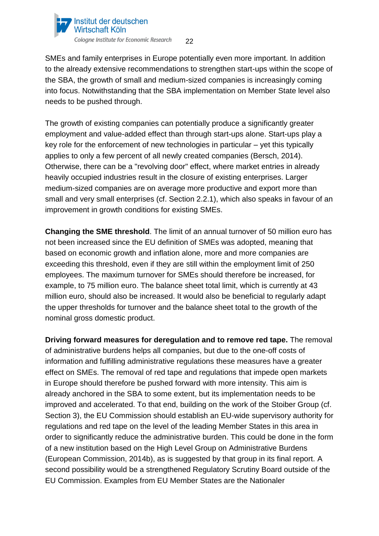

SMEs and family enterprises in Europe potentially even more important. In addition to the already extensive recommendations to strengthen start-ups within the scope of the SBA, the growth of small and medium-sized companies is increasingly coming into focus. Notwithstanding that the SBA implementation on Member State level also needs to be pushed through.

The growth of existing companies can potentially produce a significantly greater employment and value-added effect than through start-ups alone. Start-ups play a key role for the enforcement of new technologies in particular – yet this typically applies to only a few percent of all newly created companies (Bersch, 2014). Otherwise, there can be a "revolving door" effect, where market entries in already heavily occupied industries result in the closure of existing enterprises. Larger medium-sized companies are on average more productive and export more than small and very small enterprises (cf. Section 2.2.1), which also speaks in favour of an improvement in growth conditions for existing SMEs.

**Changing the SME threshold**. The limit of an annual turnover of 50 million euro has not been increased since the EU definition of SMEs was adopted, meaning that based on economic growth and inflation alone, more and more companies are exceeding this threshold, even if they are still within the employment limit of 250 employees. The maximum turnover for SMEs should therefore be increased, for example, to 75 million euro. The balance sheet total limit, which is currently at 43 million euro, should also be increased. It would also be beneficial to regularly adapt the upper thresholds for turnover and the balance sheet total to the growth of the nominal gross domestic product.

**Driving forward measures for deregulation and to remove red tape.** The removal of administrative burdens helps all companies, but due to the one-off costs of information and fulfilling administrative regulations these measures have a greater effect on SMEs. The removal of red tape and regulations that impede open markets in Europe should therefore be pushed forward with more intensity. This aim is already anchored in the SBA to some extent, but its implementation needs to be improved and accelerated. To that end, building on the work of the Stoiber Group (cf. Section 3), the EU Commission should establish an EU-wide supervisory authority for regulations and red tape on the level of the leading Member States in this area in order to significantly reduce the administrative burden. This could be done in the form of a new institution based on the High Level Group on Administrative Burdens (European Commission, 2014b), as is suggested by that group in its final report. A second possibility would be a strengthened Regulatory Scrutiny Board outside of the EU Commission. Examples from EU Member States are the Nationaler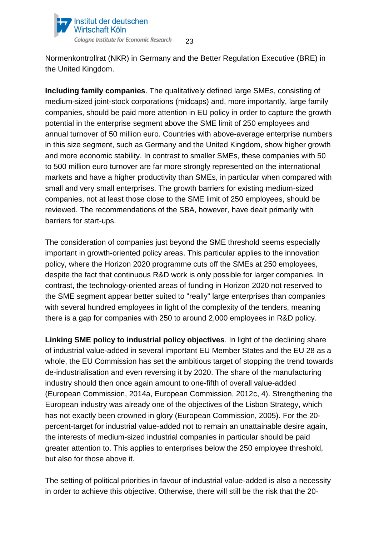

Normenkontrollrat (NKR) in Germany and the Better Regulation Executive (BRE) in the United Kingdom.

**Including family companies**. The qualitatively defined large SMEs, consisting of medium-sized joint-stock corporations (midcaps) and, more importantly, large family companies, should be paid more attention in EU policy in order to capture the growth potential in the enterprise segment above the SME limit of 250 employees and annual turnover of 50 million euro. Countries with above-average enterprise numbers in this size segment, such as Germany and the United Kingdom, show higher growth and more economic stability. In contrast to smaller SMEs, these companies with 50 to 500 million euro turnover are far more strongly represented on the international markets and have a higher productivity than SMEs, in particular when compared with small and very small enterprises. The growth barriers for existing medium-sized companies, not at least those close to the SME limit of 250 employees, should be reviewed. The recommendations of the SBA, however, have dealt primarily with barriers for start-ups.

The consideration of companies just beyond the SME threshold seems especially important in growth-oriented policy areas. This particular applies to the innovation policy, where the Horizon 2020 programme cuts off the SMEs at 250 employees, despite the fact that continuous R&D work is only possible for larger companies. In contrast, the technology-oriented areas of funding in Horizon 2020 not reserved to the SME segment appear better suited to "really" large enterprises than companies with several hundred employees in light of the complexity of the tenders, meaning there is a gap for companies with 250 to around 2,000 employees in R&D policy.

**Linking SME policy to industrial policy objectives**. In light of the declining share of industrial value-added in several important EU Member States and the EU 28 as a whole, the EU Commission has set the ambitious target of stopping the trend towards de-industrialisation and even reversing it by 2020. The share of the manufacturing industry should then once again amount to one-fifth of overall value-added (European Commission, 2014a, European Commission, 2012c, 4). Strengthening the European industry was already one of the objectives of the Lisbon Strategy, which has not exactly been crowned in glory (European Commission, 2005). For the 20 percent-target for industrial value-added not to remain an unattainable desire again, the interests of medium-sized industrial companies in particular should be paid greater attention to. This applies to enterprises below the 250 employee threshold, but also for those above it.

The setting of political priorities in favour of industrial value-added is also a necessity in order to achieve this objective. Otherwise, there will still be the risk that the 20-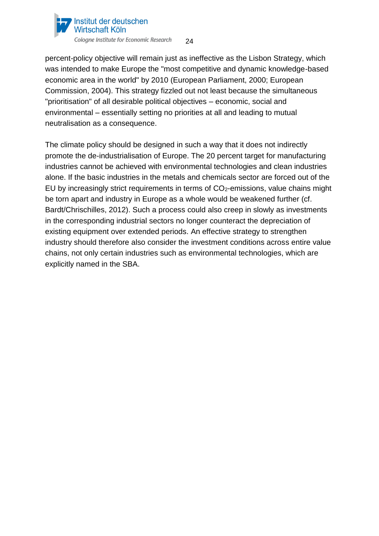

percent-policy objective will remain just as ineffective as the Lisbon Strategy, which was intended to make Europe the "most competitive and dynamic knowledge-based economic area in the world" by 2010 (European Parliament, 2000; European Commission, 2004). This strategy fizzled out not least because the simultaneous "prioritisation" of all desirable political objectives – economic, social and environmental – essentially setting no priorities at all and leading to mutual neutralisation as a consequence.

<span id="page-23-0"></span>The climate policy should be designed in such a way that it does not indirectly promote the de-industrialisation of Europe. The 20 percent target for manufacturing industries cannot be achieved with environmental technologies and clean industries alone. If the basic industries in the metals and chemicals sector are forced out of the EU by increasingly strict requirements in terms of  $CO<sub>2</sub>$ -emissions, value chains might be torn apart and industry in Europe as a whole would be weakened further (cf. Bardt/Chrischilles, 2012). Such a process could also creep in slowly as investments in the corresponding industrial sectors no longer counteract the depreciation of existing equipment over extended periods. An effective strategy to strengthen industry should therefore also consider the investment conditions across entire value chains, not only certain industries such as environmental technologies, which are explicitly named in the SBA.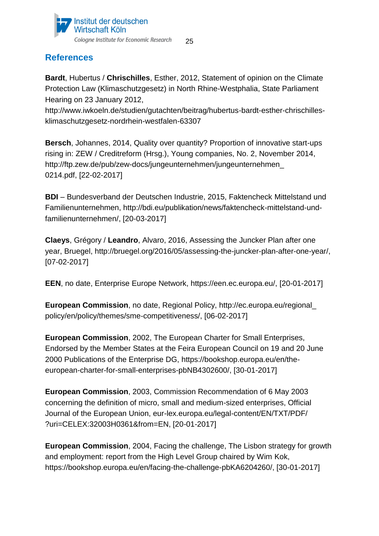

# **References**

**Bardt**, Hubertus / **Chrischilles**, Esther, 2012, Statement of opinion on the Climate Protection Law (Klimaschutzgesetz) in North Rhine-Westphalia, State Parliament Hearing on 23 January 2012,

http://www.iwkoeln.de/studien/gutachten/beitrag/hubertus-bardt-esther-chrischillesklimaschutzgesetz-nordrhein-westfalen-63307

**Bersch**, Johannes, 2014, Quality over quantity? Proportion of innovative start-ups rising in: ZEW / Creditreform (Hrsg.), Young companies, No. 2, November 2014, http://ftp.zew.de/pub/zew-docs/jungeunternehmen/jungeunternehmen\_ 0214.pdf, [22-02-2017]

**BDI** – Bundesverband der Deutschen Industrie, 2015, Faktencheck Mittelstand und Familienunternehmen, http://bdi.eu/publikation/news/faktencheck-mittelstand-undfamilienunternehmen/, [20-03-2017]

**Claeys**, Grégory / **Leandro**, Alvaro, 2016, Assessing the Juncker Plan after one year, Bruegel, http://bruegel.org/2016/05/assessing-the-juncker-plan-after-one-year/, [07-02-2017]

**EEN**, no date, Enterprise Europe Network, https://een.ec.europa.eu/, [20-01-2017]

**European Commission**, no date, Regional Policy, http://ec.europa.eu/regional\_ policy/en/policy/themes/sme-competitiveness/, [06-02-2017]

**European Commission**, 2002, The European Charter for Small Enterprises, Endorsed by the Member States at the Feira European Council on 19 and 20 June 2000 Publications of the Enterprise DG, https://bookshop.europa.eu/en/theeuropean-charter-for-small-enterprises-pbNB4302600/, [30-01-2017]

**European Commission**, 2003, Commission Recommendation of 6 May 2003 concerning the definition of micro, small and medium-sized enterprises, Official Journal of the European Union, eur-lex.europa.eu/legal-content/EN/TXT/PDF/ ?uri=CELEX:32003H0361&from=EN, [20-01-2017]

**European Commission**, 2004, Facing the challenge, The Lisbon strategy for growth and employment: report from the High Level Group chaired by Wim Kok, https://bookshop.europa.eu/en/facing-the-challenge-pbKA6204260/, [30-01-2017]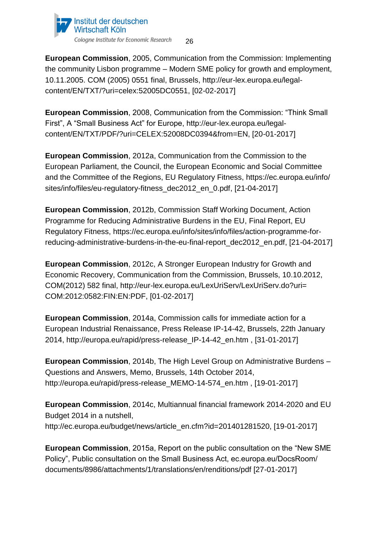

**European Commission**, 2005, Communication from the Commission: Implementing the community Lisbon programme – Modern SME policy for growth and employment, 10.11.2005. COM (2005) 0551 final, Brussels, http://eur-lex.europa.eu/legalcontent/EN/TXT/?uri=celex:52005DC0551, [02-02-2017]

**European Commission**, 2008, Communication from the Commission: "Think Small First", A "Small Business Act" for Europe, http://eur-lex.europa.eu/legalcontent/EN/TXT/PDF/?uri=CELEX:52008DC0394&from=EN, [20-01-2017]

**European Commission**, 2012a, Communication from the Commission to the European Parliament, the Council, the European Economic and Social Committee and the Committee of the Regions, EU Regulatory Fitness, https://ec.europa.eu/info/ sites/info/files/eu-regulatory-fitness\_dec2012\_en\_0.pdf, [21-04-2017]

**European Commission**, 2012b, Commission Staff Working Document, Action Programme for Reducing Administrative Burdens in the EU, Final Report, EU Regulatory Fitness, https://ec.europa.eu/info/sites/info/files/action-programme-forreducing-administrative-burdens-in-the-eu-final-report\_dec2012\_en.pdf, [21-04-2017]

**European Commission**, 2012c, A Stronger European Industry for Growth and Economic Recovery, Communication from the Commission, Brussels, 10.10.2012, COM(2012) 582 final, http://eur-lex.europa.eu/LexUriServ/LexUriServ.do?uri= COM:2012:0582:FIN:EN:PDF, [01-02-2017]

**European Commission**, 2014a, Commission calls for immediate action for a European Industrial Renaissance, Press Release IP-14-42, Brussels, 22th January 2014, http://europa.eu/rapid/press-release\_IP-14-42\_en.htm , [31-01-2017]

**European Commission**, 2014b, The High Level Group on Administrative Burdens – Questions and Answers, Memo, Brussels, 14th October 2014, http://europa.eu/rapid/press-release\_MEMO-14-574\_en.htm , [19-01-2017]

**European Commission**, 2014c, Multiannual financial framework 2014-2020 and EU Budget 2014 in a nutshell, http://ec.europa.eu/budget/news/article\_en.cfm?id=201401281520, [19-01-2017]

**European Commission**, 2015a, Report on the public consultation on the "New SME Policy", Public consultation on the Small Business Act, ec.europa.eu/DocsRoom/ documents/8986/attachments/1/translations/en/renditions/pdf [27-01-2017]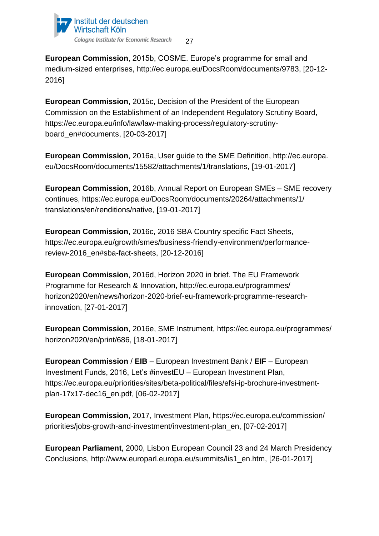

**European Commission**, 2015b, COSME. Europe's programme for small and medium-sized enterprises, http://ec.europa.eu/DocsRoom/documents/9783, [20-12- 2016]

**European Commission**, 2015c, Decision of the President of the European Commission on the Establishment of an Independent Regulatory Scrutiny Board, https://ec.europa.eu/info/law/law-making-process/regulatory-scrutinyboard\_en#documents, [20-03-2017]

**European Commission**, 2016a, User guide to the SME Definition, http://ec.europa. eu/DocsRoom/documents/15582/attachments/1/translations, [19-01-2017]

**European Commission**, 2016b, Annual Report on European SMEs – SME recovery continues, https://ec.europa.eu/DocsRoom/documents/20264/attachments/1/ translations/en/renditions/native, [19-01-2017]

**European Commission**, 2016c, 2016 SBA Country specific Fact Sheets, https://ec.europa.eu/growth/smes/business-friendly-environment/performancereview-2016\_en#sba-fact-sheets, [20-12-2016]

**European Commission**, 2016d, Horizon 2020 in brief. The EU Framework Programme for Research & Innovation, http://ec.europa.eu/programmes/ horizon2020/en/news/horizon-2020-brief-eu-framework-programme-researchinnovation, [27-01-2017]

**European Commission**, 2016e, SME Instrument, https://ec.europa.eu/programmes/ horizon2020/en/print/686, [18-01-2017]

**European Commission** / **EIB** – European Investment Bank / **EIF** – European Investment Funds, 2016, Let's #investEU – European Investment Plan, https://ec.europa.eu/priorities/sites/beta-political/files/efsi-ip-brochure-investmentplan-17x17-dec16\_en.pdf, [06-02-2017]

**European Commission**, 2017, Investment Plan, https://ec.europa.eu/commission/ priorities/jobs-growth-and-investment/investment-plan\_en, [07-02-2017]

**European Parliament**, 2000, Lisbon European Council 23 and 24 March Presidency Conclusions, http://www.europarl.europa.eu/summits/lis1\_en.htm, [26-01-2017]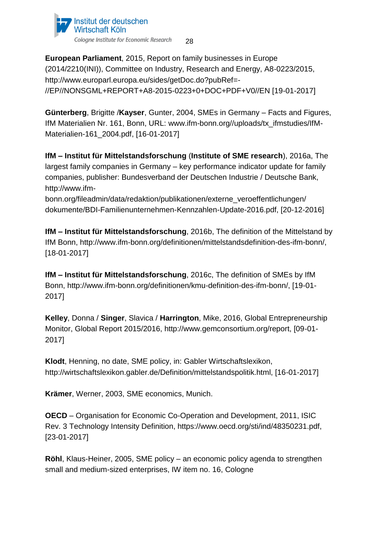

**European Parliament**, 2015, Report on family businesses in Europe (2014/2210(INI)), Committee on Industry, Research and Energy, A8-0223/2015, http://www.europarl.europa.eu/sides/getDoc.do?pubRef=- //EP//NONSGML+REPORT+A8-2015-0223+0+DOC+PDF+V0//EN [19-01-2017]

**Günterberg**, Brigitte /**Kayser**, Gunter, 2004, SMEs in Germany – Facts and Figures, IfM Materialien Nr. 161, Bonn, URL: www.ifm-bonn.org//uploads/tx\_ifmstudies/IfM-Materialien-161\_2004.pdf, [16-01-2017]

**IfM – Institut für Mittelstandsforschung** (**Institute of SME research**), 2016a, The largest family companies in Germany – key performance indicator update for family companies, publisher: Bundesverband der Deutschen Industrie / Deutsche Bank, http://www.ifm-

bonn.org/fileadmin/data/redaktion/publikationen/externe\_veroeffentlichungen/ dokumente/BDI-Familienunternehmen-Kennzahlen-Update-2016.pdf, [20-12-2016]

**IfM – Institut für Mittelstandsforschung**, 2016b, The definition of the Mittelstand by IfM Bonn, http://www.ifm-bonn.org/definitionen/mittelstandsdefinition-des-ifm-bonn/, [18-01-2017]

**IfM – Institut für Mittelstandsforschung**, 2016c, The definition of SMEs by IfM Bonn, http://www.ifm-bonn.org/definitionen/kmu-definition-des-ifm-bonn/, [19-01- 2017]

**Kelley**, Donna / **Singer**, Slavica / **Harrington**, Mike, 2016, Global Entrepreneurship Monitor, Global Report 2015/2016, http://www.gemconsortium.org/report, [09-01- 2017]

**Klodt**, Henning, no date, SME policy, in: Gabler Wirtschaftslexikon, http://wirtschaftslexikon.gabler.de/Definition/mittelstandspolitik.html, [16-01-2017]

**Krämer**, Werner, 2003, SME economics, Munich.

**OECD** – Organisation for Economic Co-Operation and Development, 2011, ISIC Rev. 3 Technology Intensity Definition, https://www.oecd.org/sti/ind/48350231.pdf, [23-01-2017]

**Röhl**, Klaus-Heiner, 2005, SME policy – an economic policy agenda to strengthen small and medium-sized enterprises, IW item no. 16, Cologne